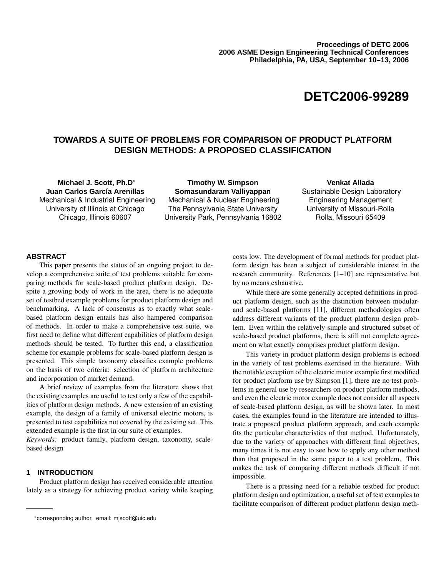# **DETC2006-99289**

## **TOWARDS A SUITE OF PROBLEMS FOR COMPARISON OF PRODUCT PLATFORM DESIGN METHODS: A PROPOSED CLASSIFICATION**

**Michael J. Scott, Ph.D**∗ **Juan Carlos García Arenillas** Mechanical & Industrial Engineering University of Illinois at Chicago Chicago, Illinois 60607

**Timothy W. Simpson Somasundaram Valliyappan** Mechanical & Nuclear Engineering The Pennsylvania State University University Park, Pennsylvania 16802

**Venkat Allada** Sustainable Design Laboratory Engineering Management University of Missouri-Rolla Rolla, Missouri 65409

#### **ABSTRACT**

This paper presents the status of an ongoing project to develop a comprehensive suite of test problems suitable for comparing methods for scale-based product platform design. Despite a growing body of work in the area, there is no adequate set of testbed example problems for product platform design and benchmarking. A lack of consensus as to exactly what scalebased platform design entails has also hampered comparison of methods. In order to make a comprehensive test suite, we first need to define what different capabilities of platform design methods should be tested. To further this end, a classification scheme for example problems for scale-based platform design is presented. This simple taxonomy classifies example problems on the basis of two criteria: selection of platform architecture and incorporation of market demand.

A brief review of examples from the literature shows that the existing examples are useful to test only a few of the capabilities of platform design methods. A new extension of an existing example, the design of a family of universal electric motors, is presented to test capabilities not covered by the existing set. This extended example is the first in our suite of examples.

*Keywords:* product family, platform design, taxonomy, scalebased design

## **1 INTRODUCTION**

Product platform design has received considerable attention lately as a strategy for achieving product variety while keeping costs low. The development of formal methods for product platform design has been a subject of considerable interest in the research community. References [1–10] are representative but by no means exhaustive.

While there are some generally accepted definitions in product platform design, such as the distinction between modularand scale-based platforms [11], different methodologies often address different variants of the product platform design problem. Even within the relatively simple and structured subset of scale-based product platforms, there is still not complete agreement on what exactly comprises product platform design.

This variety in product platform design problems is echoed in the variety of test problems exercised in the literature. With the notable exception of the electric motor example first modified for product platform use by Simpson [1], there are no test problems in general use by researchers on product platform methods, and even the electric motor example does not consider all aspects of scale-based platform design, as will be shown later. In most cases, the examples found in the literature are intended to illustrate a proposed product platform approach, and each example fits the particular characteristics of that method. Unfortunately, due to the variety of approaches with different final objectives, many times it is not easy to see how to apply any other method than that proposed in the same paper to a test problem. This makes the task of comparing different methods difficult if not impossible.

There is a pressing need for a reliable testbed for product platform design and optimization, a useful set of test examples to facilitate comparison of different product platform design meth-

<sup>∗</sup>corresponding author, email: mjscott@uic.edu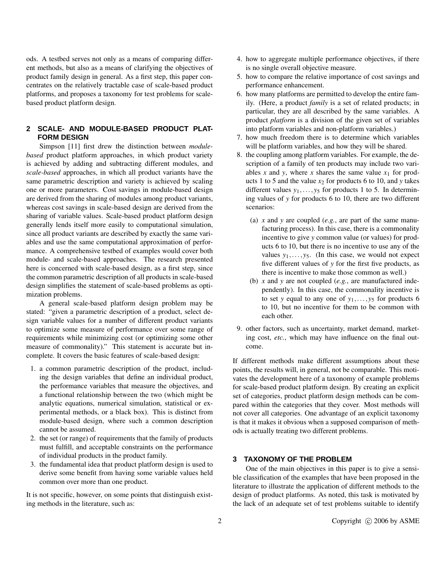ods. A testbed serves not only as a means of comparing different methods, but also as a means of clarifying the objectives of product family design in general. As a first step, this paper concentrates on the relatively tractable case of scale-based product platforms, and proposes a taxonomy for test problems for scalebased product platform design.

## **2 SCALE- AND MODULE-BASED PRODUCT PLAT-FORM DESIGN**

Simpson [11] first drew the distinction between *modulebased* product platform approaches, in which product variety is achieved by adding and subtracting different modules, and *scale-based* approaches, in which all product variants have the same parametric description and variety is achieved by scaling one or more parameters. Cost savings in module-based design are derived from the sharing of modules among product variants, whereas cost savings in scale-based design are derived from the sharing of variable values. Scale-based product platform design generally lends itself more easily to computational simulation, since all product variants are described by exactly the same variables and use the same computational approximation of performance. A comprehensive testbed of examples would cover both module- and scale-based approaches. The research presented here is concerned with scale-based design, as a first step, since the common parametric description of all products in scale-based design simplifies the statement of scale-based problems as optimization problems.

A general scale-based platform design problem may be stated: "given a parametric description of a product, select design variable values for a number of different product variants to optimize some measure of performance over some range of requirements while minimizing cost (or optimizing some other measure of commonality)." This statement is accurate but incomplete. It covers the basic features of scale-based design:

- 1. a common parametric description of the product, including the design variables that define an individual product, the performance variables that measure the objectives, and a functional relationship between the two (which might be analytic equations, numerical simulation, statistical or experimental methods, or a black box). This is distinct from module-based design, where such a common description cannot be assumed.
- 2. the set (or range) of requirements that the family of products must fulfill, and acceptable constraints on the performance of individual products in the product family.
- 3. the fundamental idea that product platform design is used to derive some benefit from having some variable values held common over more than one product.

It is not specific, however, on some points that distinguish existing methods in the literature, such as:

- 4. how to aggregate multiple performance objectives, if there is no single overall objective measure.
- 5. how to compare the relative importance of cost savings and performance enhancement.
- 6. how many platforms are permitted to develop the entire family. (Here, a product *family* is a set of related products; in particular, they are all described by the same variables. A product *platform* is a division of the given set of variables into platform variables and non-platform variables.)
- 7. how much freedom there is to determine which variables will be platform variables, and how they will be shared.
- 8. the coupling among platform variables. For example, the description of a family of ten products may include two variables *x* and *y*, where *x* shares the same value  $x_1$  for products 1 to 5 and the value  $x_2$  for products 6 to 10, and *y* takes different values  $y_1, \ldots, y_5$  for products 1 to 5. In determining values of *y* for products 6 to 10, there are two different scenarios:
	- (a) *x* and *y* are coupled (*e.g.*, are part of the same manufacturing process). In this case, there is a commonality incentive to give *y* common value (or values) for products 6 to 10, but there is no incentive to use any of the values  $y_1, \ldots, y_5$ . (In this case, we would not expect five different values of *y* for the first five products, as there is incentive to make those common as well.)
	- (b) *x* and *y* are not coupled (*e.g.*, are manufactured independently). In this case, the commonality incentive is to set *y* equal to any one of  $y_1, \ldots, y_5$  for products 6 to 10, but no incentive for them to be common with each other.
- 9. other factors, such as uncertainty, market demand, marketing cost, *etc.*, which may have influence on the final outcome.

If different methods make different assumptions about these points, the results will, in general, not be comparable. This motivates the development here of a taxonomy of example problems for scale-based product platform design. By creating an explicit set of categories, product platform design methods can be compared within the categories that they cover. Most methods will not cover all categories. One advantage of an explicit taxonomy is that it makes it obvious when a supposed comparison of methods is actually treating two different problems.

#### **3 TAXONOMY OF THE PROBLEM**

One of the main objectives in this paper is to give a sensible classification of the examples that have been proposed in the literature to illustrate the application of different methods to the design of product platforms. As noted, this task is motivated by the lack of an adequate set of test problems suitable to identify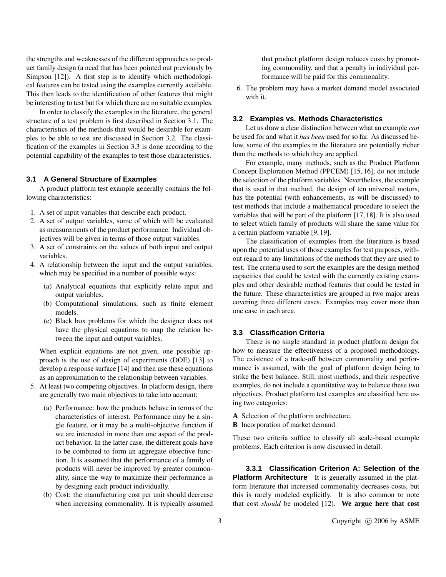the strengths and weaknesses of the different approaches to product family design (a need that has been pointed out previously by Simpson [12]). A first step is to identify which methodological features can be tested using the examples currently available. This then leads to the identification of other features that might be interesting to test but for which there are no suitable examples.

In order to classify the examples in the literature, the general structure of a test problem is first described in Section 3.1. The characteristics of the methods that would be desirable for examples to be able to test are discussed in Section 3.2. The classification of the examples in Section 3.3 is done according to the potential capability of the examples to test those characteristics.

#### **3.1 A General Structure of Examples**

A product platform test example generally contains the following characteristics:

- 1. A set of input variables that describe each product.
- 2. A set of output variables, some of which will be evaluated as measurements of the product performance. Individual objectives will be given in terms of those output variables.
- 3. A set of constraints on the values of both input and output variables.
- 4. A relationship between the input and the output variables, which may be specified in a number of possible ways:
	- (a) Analytical equations that explicitly relate input and output variables.
	- (b) Computational simulations, such as finite element models.
	- (c) Black box problems for which the designer does not have the physical equations to map the relation between the input and output variables.

When explicit equations are not given, one possible approach is the use of design of experiments (DOE) [13] to develop a response surface [14] and then use these equations as an approximation to the relationship between variables.

- 5. At least two competing objectives. In platform design, there are generally two main objectives to take into account:
	- (a) Performance: how the products behave in terms of the characteristics of interest. Performance may be a single feature, or it may be a multi-objective function if we are interested in more than one aspect of the product behavior. In the latter case, the different goals have to be combined to form an aggregate objective function. It is assumed that the performance of a family of products will never be improved by greater commonality, since the way to maximize their performance is by designing each product individually.
	- (b) Cost: the manufacturing cost per unit should decrease when increasing commonality. It is typically assumed

that product platform design reduces costs by promoting commonality, and that a penalty in individual performance will be paid for this commonality.

6. The problem may have a market demand model associated with it.

#### **3.2 Examples vs. Methods Characteristics**

Let us draw a clear distinction between what an example *can* be used for and what it *has been* used for so far. As discussed below, some of the examples in the literature are potentially richer than the methods to which they are applied.

For example, many methods, such as the Product Platform Concept Exploration Method (PPCEM) [15, 16], do not include the selection of the platform variables. Nevertheless, the example that is used in that method, the design of ten universal motors, has the potential (with enhancements, as will be discussed) to test methods that include a mathematical procedure to select the variables that will be part of the platform [17, 18]. It is also used to select which family of products will share the same value for a certain platform variable [9, 19].

The classification of examples from the literature is based upon the potential uses of those examples for test purposes, without regard to any limitations of the methods that they are used to test. The criteria used to sort the examples are the design method capacities that could be tested with the currently existing examples and other desirable method features that could be tested in the future. These characteristics are grouped in two major areas covering three different cases. Examples may cover more than one case in each area.

#### **3.3 Classification Criteria**

There is no single standard in product platform design for how to measure the effectiveness of a proposed methodology. The existence of a trade-off between commonality and performance is assumed, with the goal of platform design being to strike the best balance. Still, most methods, and their respective examples, do not include a quantitative way to balance these two objectives. Product platform test examples are classified here using two categories:

- **A** Selection of the platform architecture.
- **B** Incorporation of market demand.

These two criteria suffice to classify all scale-based example problems. Each criterion is now discussed in detail.

**3.3.1 Classification Criterion A: Selection of the Platform Architecture** It is generally assumed in the platform literature that increased commonality decreases costs, but this is rarely modeled explicitly. It is also common to note that cost *should* be modeled [12]. **We argue here that cost**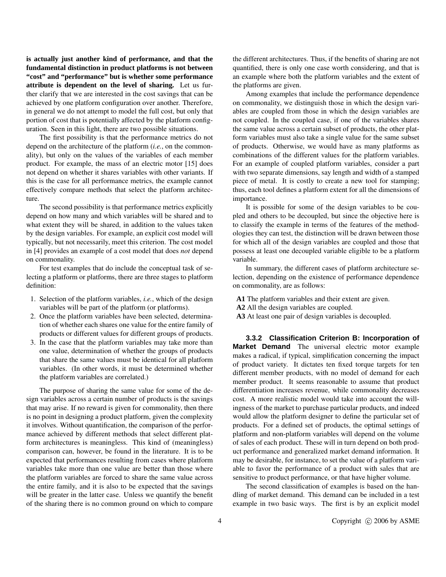**is actually just another kind of performance, and that the fundamental distinction in product platforms is not between "cost" and "performance" but is whether some performance attribute is dependent on the level of sharing.** Let us further clarify that we are interested in the cost savings that can be achieved by one platform configuration over another. Therefore, in general we do not attempt to model the full cost, but only that portion of cost that is potentially affected by the platform configuration. Seen in this light, there are two possible situations.

The first possibility is that the performance metrics do not depend on the architecture of the platform (*i.e.*, on the commonality), but only on the values of the variables of each member product. For example, the mass of an electric motor [15] does not depend on whether it shares variables with other variants. If this is the case for all performance metrics, the example cannot effectively compare methods that select the platform architecture.

The second possibility is that performance metrics explicitly depend on how many and which variables will be shared and to what extent they will be shared, in addition to the values taken by the design variables. For example, an explicit cost model will typically, but not necessarily, meet this criterion. The cost model in [4] provides an example of a cost model that does *not* depend on commonality.

For test examples that do include the conceptual task of selecting a platform or platforms, there are three stages to platform definition:

- 1. Selection of the platform variables, *i.e.*, which of the design variables will be part of the platform (or platforms).
- 2. Once the platform variables have been selected, determination of whether each shares one value for the entire family of products or different values for different groups of products.
- 3. In the case that the platform variables may take more than one value, determination of whether the groups of products that share the same values must be identical for all platform variables. (In other words, it must be determined whether the platform variables are correlated.)

The purpose of sharing the same value for some of the design variables across a certain number of products is the savings that may arise. If no reward is given for commonality, then there is no point in designing a product platform, given the complexity it involves. Without quantification, the comparison of the performance achieved by different methods that select different platform architectures is meaningless. This kind of (meaningless) comparison can, however, be found in the literature. It is to be expected that performances resulting from cases where platform variables take more than one value are better than those where the platform variables are forced to share the same value across the entire family, and it is also to be expected that the savings will be greater in the latter case. Unless we quantify the benefit of the sharing there is no common ground on which to compare

the different architectures. Thus, if the benefits of sharing are not quantified, there is only one case worth considering, and that is an example where both the platform variables and the extent of the platforms are given.

Among examples that include the performance dependence on commonality, we distinguish those in which the design variables are coupled from those in which the design variables are not coupled. In the coupled case, if one of the variables shares the same value across a certain subset of products, the other platform variables must also take a single value for the same subset of products. Otherwise, we would have as many platforms as combinations of the different values for the platform variables. For an example of coupled platform variables, consider a part with two separate dimensions, say length and width of a stamped piece of metal. It is costly to create a new tool for stamping; thus, each tool defines a platform extent for all the dimensions of importance.

It is possible for some of the design variables to be coupled and others to be decoupled, but since the objective here is to classify the example in terms of the features of the methodologies they can test, the distinction will be drawn between those for which all of the design variables are coupled and those that possess at least one decoupled variable eligible to be a platform variable.

In summary, the different cases of platform architecture selection, depending on the existence of performance dependence on commonality, are as follows:

- **A1** The platform variables and their extent are given.
- **A2** All the design variables are coupled.
- **A3** At least one pair of design variables is decoupled.

**3.3.2 Classification Criterion B: Incorporation of Market Demand** The universal electric motor example makes a radical, if typical, simplification concerning the impact of product variety. It dictates ten fixed torque targets for ten different member products, with no model of demand for each member product. It seems reasonable to assume that product differentiation increases revenue, while commonality decreases cost. A more realistic model would take into account the willingness of the market to purchase particular products, and indeed would allow the platform designer to define the particular set of products. For a defined set of products, the optimal settings of platform and non-platform variables will depend on the volume of sales of each product. These will in turn depend on both product performance and generalized market demand information. It may be desirable, for instance, to set the value of a platform variable to favor the performance of a product with sales that are sensitive to product performance, or that have higher volume.

The second classification of examples is based on the handling of market demand. This demand can be included in a test example in two basic ways. The first is by an explicit model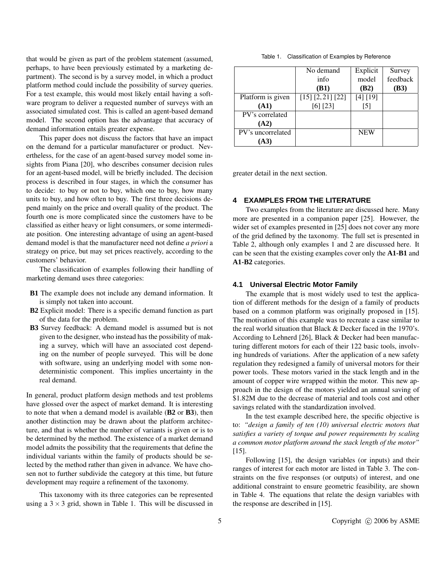that would be given as part of the problem statement (assumed, perhaps, to have been previously estimated by a marketing department). The second is by a survey model, in which a product platform method could include the possibility of survey queries. For a test example, this would most likely entail having a software program to deliver a requested number of surveys with an associated simulated cost. This is called an agent-based demand model. The second option has the advantage that accuracy of demand information entails greater expense.

This paper does not discuss the factors that have an impact on the demand for a particular manufacturer or product. Nevertheless, for the case of an agent-based survey model some insights from Piana [20], who describes consumer decision rules for an agent-based model, will be briefly included. The decision process is described in four stages, in which the consumer has to decide: to buy or not to buy, which one to buy, how many units to buy, and how often to buy. The first three decisions depend mainly on the price and overall quality of the product. The fourth one is more complicated since the customers have to be classified as either heavy or light consumers, or some intermediate position. One interesting advantage of using an agent-based demand model is that the manufacturer need not define *a priori* a strategy on price, but may set prices reactively, according to the customers' behavior.

The classification of examples following their handling of marketing demand uses three categories:

- **B1** The example does not include any demand information. It is simply not taken into account.
- **B2** Explicit model: There is a specific demand function as part of the data for the problem.
- **B3** Survey feedback: A demand model is assumed but is not given to the designer, who instead has the possibility of making a survey, which will have an associated cost depending on the number of people surveyed. This will be done with software, using an underlying model with some nondeterministic component. This implies uncertainty in the real demand.

In general, product platform design methods and test problems have glossed over the aspect of market demand. It is interesting to note that when a demand model is available (**B2** or **B3**), then another distinction may be drawn about the platform architecture, and that is whether the number of variants is given or is to be determined by the method. The existence of a market demand model admits the possibility that the requirements that define the individual variants within the family of products should be selected by the method rather than given in advance. We have chosen not to further subdivide the category at this time, but future development may require a refinement of the taxonomy.

This taxonomy with its three categories can be represented using a  $3 \times 3$  grid, shown in Table 1. This will be discussed in

| Table 1. | Classification of Examples by Reference |  |  |
|----------|-----------------------------------------|--|--|
|----------|-----------------------------------------|--|--|

|                   | No demand         | Explicit   | Survey   |
|-------------------|-------------------|------------|----------|
|                   | info              | model      | feedback |
|                   | (B1)              | (B2)       | (B3)     |
| Platform is given | [15] [2, 21] [22] | [4] [19]   |          |
| (A1)              | [6] [23]          | [5]        |          |
| PV's correlated   |                   |            |          |
| (A2)              |                   |            |          |
| PV's uncorrelated |                   | <b>NEW</b> |          |
| (A3)              |                   |            |          |

greater detail in the next section.

### **4 EXAMPLES FROM THE LITERATURE**

Two examples from the literature are discussed here. Many more are presented in a companion paper [25]. However, the wider set of examples presented in [25] does not cover any more of the grid defined by the taxonomy. The full set is presented in Table 2, although only examples 1 and 2 are discussed here. It can be seen that the existing examples cover only the **A1-B1** and **A1-B2** categories.

#### **4.1 Universal Electric Motor Family**

The example that is most widely used to test the application of different methods for the design of a family of products based on a common platform was originally proposed in [15]. The motivation of this example was to recreate a case similar to the real world situation that Black & Decker faced in the 1970's. According to Lehnerd [26], Black & Decker had been manufacturing different motors for each of their 122 basic tools, involving hundreds of variations. After the application of a new safety regulation they redesigned a family of universal motors for their power tools. These motors varied in the stack length and in the amount of copper wire wrapped within the motor. This new approach in the design of the motors yielded an annual saving of \$1.82M due to the decrease of material and tools cost and other savings related with the standardization involved.

In the test example described here, the specific objective is to: *"design a family of ten (10) universal electric motors that satisfies a variety of torque and power requirements by scaling a common motor platform around the stack length of the motor"* [15].

Following [15], the design variables (or inputs) and their ranges of interest for each motor are listed in Table 3. The constraints on the five responses (or outputs) of interest, and one additional constraint to ensure geometric feasibility, are shown in Table 4. The equations that relate the design variables with the response are described in [15].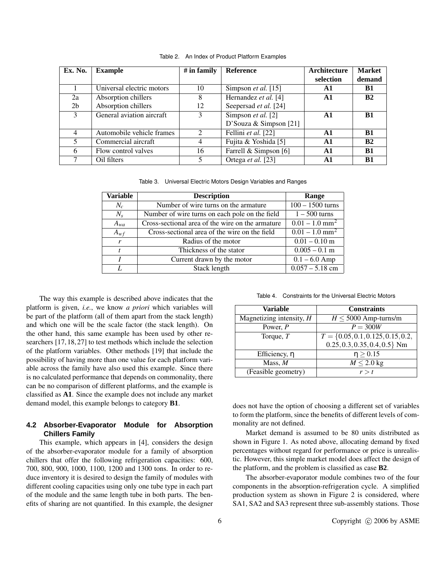| Ex. No.        | <b>Example</b>            | $#$ in family  | <b>Reference</b>           | Architecture   | <b>Market</b> |
|----------------|---------------------------|----------------|----------------------------|----------------|---------------|
|                |                           |                |                            | selection      | demand        |
|                | Universal electric motors | 10             | Simpson <i>et al.</i> [15] | A1             | <b>B1</b>     |
| 2a             | Absorption chillers       | 8              | Hernandez et al. [4]       | A1             | B2            |
| 2 <sub>b</sub> | Absorption chillers       | 12             | Seepersad et al. [24]      |                |               |
| 3              | General aviation aircraft | 3              | Simpson <i>et al.</i> [2]  | $\mathbf{A1}$  | <b>B1</b>     |
|                |                           |                | D'Souza & Simpson $[21]$   |                |               |
| 4              | Automobile vehicle frames | $\mathfrak{D}$ | Fellini et al. $[22]$      | A1             | B1            |
| 5              | Commercial aircraft       | 4              | Fujita & Yoshida [5]       | A1             | B2            |
| 6              | Flow control valves       | 16             | Farrell & Simpson [6]      | $\mathbf{A}$ 1 | B1            |
|                | Oil filters               | 5.             | Ortega <i>et al.</i> [23]  | $\mathbf{A}$ 1 | B1            |

Table 2. An Index of Product Platform Examples

Table 3. Universal Electric Motors Design Variables and Ranges

| <b>Variable</b> | <b>Description</b>                               | Range                        |
|-----------------|--------------------------------------------------|------------------------------|
| $N_c$           | Number of wire turns on the armature             | $100 - 1500$ turns           |
| $N_{s}$         | Number of wire turns on each pole on the field   | $1 - 500$ turns              |
| $A_{wa}$        | Cross-sectional area of the wire on the armature | $0.01 - 1.0$ mm <sup>2</sup> |
| $A_{wf}$        | Cross-sectional area of the wire on the field    | $0.01 - 1.0$ mm <sup>2</sup> |
| $\mathbf{r}$    | Radius of the motor                              | $0.01 - 0.10$ m              |
|                 | Thickness of the stator                          | $0.005 - 0.1$ m              |
|                 | Current drawn by the motor                       | $0.1 - 6.0$ Amp              |
|                 | <b>Stack length</b>                              | $0.057 - 5.18$ cm            |

The way this example is described above indicates that the platform is given, *i.e.*, we know *a priori* which variables will be part of the platform (all of them apart from the stack length) and which one will be the scale factor (the stack length). On the other hand, this same example has been used by other researchers [17,18,27] to test methods which include the selection of the platform variables. Other methods [19] that include the possibility of having more than one value for each platform variable across the family have also used this example. Since there is no calculated performance that depends on commonality, there can be no comparison of different platforms, and the example is classified as **A1**. Since the example does not include any market demand model, this example belongs to category **B1**.

## **4.2 Absorber-Evaporator Module for Absorption Chillers Family**

This example, which appears in [4], considers the design of the absorber-evaporator module for a family of absorption chillers that offer the following refrigeration capacities: 600, 700, 800, 900, 1000, 1100, 1200 and 1300 tons. In order to reduce inventory it is desired to design the family of modules with different cooling capacities using only one tube type in each part of the module and the same length tube in both parts. The benefits of sharing are not quantified. In this example, the designer

| Table 4. Constraints for the Universal Electric Motors |  |  |
|--------------------------------------------------------|--|--|
|                                                        |  |  |

| Variable                   | <b>Constraints</b>                   |
|----------------------------|--------------------------------------|
| Magnetizing intensity, $H$ | $H \leq 5000$ Amp-turns/m            |
| Power, $P$                 | $P = 300W$                           |
| Torque, $T$                | $T = \{0.05, 0.1, 0.125, 0.15, 0.2,$ |
|                            | $0.25, 0.3, 0.35, 0.4, 0.5$ Nm       |
| Efficiency, $\eta$         | $\eta \geq 0.15$                     |
| Mass, $M$                  | $M \leq 2.0$ kg                      |
| (Feasible geometry)        | r > t                                |

does not have the option of choosing a different set of variables to form the platform, since the benefits of different levels of commonality are not defined.

Market demand is assumed to be 80 units distributed as shown in Figure 1. As noted above, allocating demand by fixed percentages without regard for performance or price is unrealistic. However, this simple market model does affect the design of the platform, and the problem is classified as case **B2**.

The absorber-evaporator module combines two of the four components in the absorption-refrigeration cycle. A simplified production system as shown in Figure 2 is considered, where SA1, SA2 and SA3 represent three sub-assembly stations. Those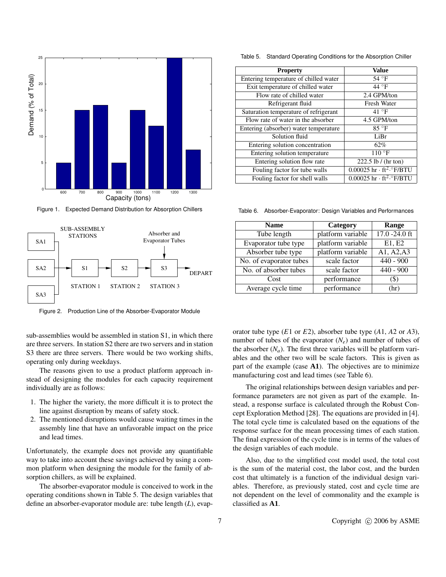

Figure 1. Expected Demand Distribution for Absorption Chillers



Figure 2. Production Line of the Absorber-Evaporator Module

sub-assemblies would be assembled in station S1, in which there are three servers. In station S2 there are two servers and in station S3 there are three servers. There would be two working shifts, operating only during weekdays.

The reasons given to use a product platform approach instead of designing the modules for each capacity requirement individually are as follows:

- 1. The higher the variety, the more difficult it is to protect the line against disruption by means of safety stock.
- 2. The mentioned disruptions would cause waiting times in the assembly line that have an unfavorable impact on the price and lead times.

Unfortunately, the example does not provide any quantifiable way to take into account these savings achieved by using a common platform when designing the module for the family of absorption chillers, as will be explained.

The absorber-evaporator module is conceived to work in the operating conditions shown in Table 5. The design variables that define an absorber-evaporator module are: tube length (*L*), evap-

Table 5. Standard Operating Conditions for the Absorption Chiller

| <b>Property</b>                       | Value                                        |
|---------------------------------------|----------------------------------------------|
| Entering temperature of chilled water | 54 $\degree$ F                               |
| Exit temperature of chilled water     | $44^{\circ}$ F                               |
| Flow rate of chilled water            | 2.4 GPM/ton                                  |
| Refrigerant fluid                     | <b>Fresh Water</b>                           |
| Saturation temperature of refrigerant | 41 $\degree$ F                               |
| Flow rate of water in the absorber    | 4.5 GPM/ton                                  |
| Entering (absorber) water temperature | $85^{\circ}$ F                               |
| Solution fluid                        | LiBr                                         |
| Entering solution concentration       | 62%                                          |
| Entering solution temperature         | $110^{\circ}$ F                              |
| Entering solution flow rate           | $\overline{222.5}$ lb / (hr ton)             |
| Fouling factor for tube walls         | $0.00025$ hr $\cdot$ ft <sup>2</sup> . F/BTU |
| Fouling factor for shell walls        | $0.00025$ hr · ft <sup>2</sup> . F/BTU       |

Table 6. Absorber-Evaporator: Design Variables and Performances

| <b>Name</b>             | Category          | Range            |
|-------------------------|-------------------|------------------|
| Tube length             | platform variable | $17.0 - 24.0$ ft |
| Evaporator tube type    | platform variable | E1, E2           |
| Absorber tube type      | platform variable | A1, A2, A3       |
| No. of evaporator tubes | scale factor      | $440 - 900$      |
| No. of absorber tubes   | scale factor      | $440 - 900$      |
| Cost                    | performance       | (S)              |
| Average cycle time      | performance       | (hr)             |

orator tube type (*E*1 or *E*2), absorber tube type (*A*1, *A*2 or *A*3), number of tubes of the evaporator  $(N_e)$  and number of tubes of the absorber  $(N_a)$ . The first three variables will be platform variables and the other two will be scale factors. This is given as part of the example (case **A1**). The objectives are to minimize manufacturing cost and lead times (see Table 6).

The original relationships between design variables and performance parameters are not given as part of the example. Instead, a response surface is calculated through the Robust Concept Exploration Method [28]. The equations are provided in [4]. The total cycle time is calculated based on the equations of the response surface for the mean processing times of each station. The final expression of the cycle time is in terms of the values of the design variables of each module.

Also, due to the simplified cost model used, the total cost is the sum of the material cost, the labor cost, and the burden cost that ultimately is a function of the individual design variables. Therefore, as previously stated, cost and cycle time are not dependent on the level of commonality and the example is classified as **A1**.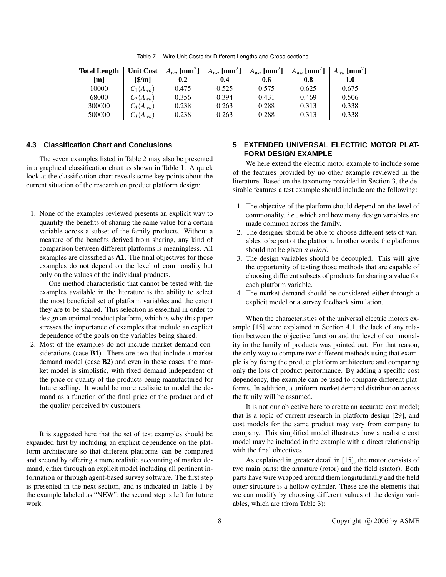| <b>Total Length</b> | <b>Unit Cost</b> | $A_{wa}$ [mm <sup>2</sup> ] | $A_{wa}$ [mm <sup>2</sup> ] | $A_{wa}$ [mm <sup>2</sup> ] | $A_{wa}$ [mm <sup>2</sup> ] | $A_{wa}$ [mm <sup>2</sup> ] |
|---------------------|------------------|-----------------------------|-----------------------------|-----------------------------|-----------------------------|-----------------------------|
| [m]                 | $\sqrt{m}$       | 0.2                         | 0.4                         | 0.6                         | 0.8                         | $1.0\,$                     |
| 10000               | $C_1(A_{wa})$    | 0.475                       | 0.525                       | 0.575                       | 0.625                       | 0.675                       |
| 68000               | $C_2(A_{wa})$    | 0.356                       | 0.394                       | 0.431                       | 0.469                       | 0.506                       |
| 300000              | $C_3(A_{wa})$    | 0.238                       | 0.263                       | 0.288                       | 0.313                       | 0.338                       |
| 500000              | $C_3(A_{wa})$    | 0.238                       | 0.263                       | 0.288                       | 0.313                       | 0.338                       |

Table 7. Wire Unit Costs for Different Lengths and Cross-sections

#### **4.3 Classification Chart and Conclusions**

The seven examples listed in Table 2 may also be presented in a graphical classification chart as shown in Table 1. A quick look at the classification chart reveals some key points about the current situation of the research on product platform design:

1. None of the examples reviewed presents an explicit way to quantify the benefits of sharing the same value for a certain variable across a subset of the family products. Without a measure of the benefits derived from sharing, any kind of comparison between different platforms is meaningless. All examples are classified as **A1**. The final objectives for those examples do not depend on the level of commonality but only on the values of the individual products.

One method characteristic that cannot be tested with the examples available in the literature is the ability to select the most beneficial set of platform variables and the extent they are to be shared. This selection is essential in order to design an optimal product platform, which is why this paper stresses the importance of examples that include an explicit dependence of the goals on the variables being shared.

2. Most of the examples do not include market demand considerations (case **B1**). There are two that include a market demand model (case **B2**) and even in these cases, the market model is simplistic, with fixed demand independent of the price or quality of the products being manufactured for future selling. It would be more realistic to model the demand as a function of the final price of the product and of the quality perceived by customers.

It is suggested here that the set of test examples should be expanded first by including an explicit dependence on the platform architecture so that different platforms can be compared and second by offering a more realistic accounting of market demand, either through an explicit model including all pertinent information or through agent-based survey software. The first step is presented in the next section, and is indicated in Table 1 by the example labeled as "NEW"; the second step is left for future work.

## **5 EXTENDED UNIVERSAL ELECTRIC MOTOR PLAT-FORM DESIGN EXAMPLE**

We here extend the electric motor example to include some of the features provided by no other example reviewed in the literature. Based on the taxonomy provided in Section 3, the desirable features a test example should include are the following:

- 1. The objective of the platform should depend on the level of commonality, *i.e.*, which and how many design variables are made common across the family.
- 2. The designer should be able to choose different sets of variables to be part of the platform. In other words, the platforms should not be given *a priori*.
- 3. The design variables should be decoupled. This will give the opportunity of testing those methods that are capable of choosing different subsets of products for sharing a value for each platform variable.
- 4. The market demand should be considered either through a explicit model or a survey feedback simulation.

When the characteristics of the universal electric motors example [15] were explained in Section 4.1, the lack of any relation between the objective function and the level of commonality in the family of products was pointed out. For that reason, the only way to compare two different methods using that example is by fixing the product platform architecture and comparing only the loss of product performance. By adding a specific cost dependency, the example can be used to compare different platforms. In addition, a uniform market demand distribution across the family will be assumed.

It is not our objective here to create an accurate cost model; that is a topic of current research in platform design [29], and cost models for the same product may vary from company to company. This simplified model illustrates how a realistic cost model may be included in the example with a direct relationship with the final objectives.

As explained in greater detail in [15], the motor consists of two main parts: the armature (rotor) and the field (stator). Both parts have wire wrapped around them longitudinally and the field outer structure is a hollow cylinder. These are the elements that we can modify by choosing different values of the design variables, which are (from Table 3):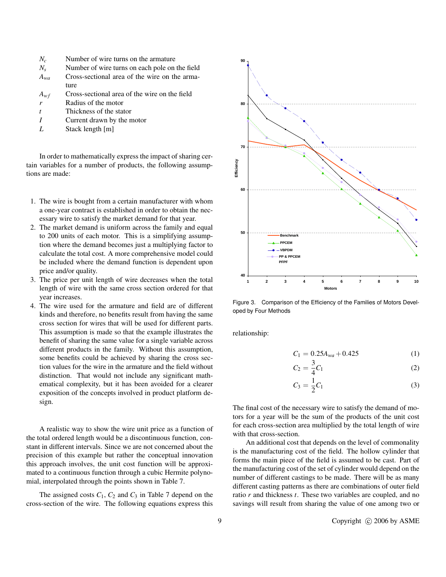- $N_c$  Number of wire turns on the armature  $N_s$  Number of wire turns on each pole on
- *N<sup>s</sup>* Number of wire turns on each pole on the field *Awa* Cross-sectional area of the wire on the arma-
- ture
- *Awf* Cross-sectional area of the wire on the field
- *r* Radius of the motor
- *t* Thickness of the stator
- *I* Current drawn by the motor
- *L* Stack length [m]

In order to mathematically express the impact of sharing certain variables for a number of products, the following assumptions are made:

- 1. The wire is bought from a certain manufacturer with whom a one-year contract is established in order to obtain the necessary wire to satisfy the market demand for that year.
- 2. The market demand is uniform across the family and equal to 200 units of each motor. This is a simplifying assumption where the demand becomes just a multiplying factor to calculate the total cost. A more comprehensive model could be included where the demand function is dependent upon price and/or quality.
- 3. The price per unit length of wire decreases when the total length of wire with the same cross section ordered for that year increases.
- 4. The wire used for the armature and field are of different kinds and therefore, no benefits result from having the same cross section for wires that will be used for different parts. This assumption is made so that the example illustrates the benefit of sharing the same value for a single variable across different products in the family. Without this assumption, some benefits could be achieved by sharing the cross section values for the wire in the armature and the field without distinction. That would not include any significant mathematical complexity, but it has been avoided for a clearer exposition of the concepts involved in product platform design.

A realistic way to show the wire unit price as a function of the total ordered length would be a discontinuous function, constant in different intervals. Since we are not concerned about the precision of this example but rather the conceptual innovation this approach involves, the unit cost function will be approximated to a continuous function through a cubic Hermite polynomial, interpolated through the points shown in Table 7.

The assigned costs  $C_1$ ,  $C_2$  and  $C_3$  in Table 7 depend on the cross-section of the wire. The following equations express this



Figure 3. Comparison of the Efficiency of the Families of Motors Developed by Four Methods

 $\overline{a}$ 

relationship:

$$
C_1 = 0.25A_{wa} + 0.425\tag{1}
$$

$$
C_2 = \frac{3}{4}C_1\tag{2}
$$

$$
C_3 = \frac{1}{2}C_1\tag{3}
$$

The final cost of the necessary wire to satisfy the demand of motors for a year will be the sum of the products of the unit cost for each cross-section area multiplied by the total length of wire with that cross-section.

An additional cost that depends on the level of commonality is the manufacturing cost of the field. The hollow cylinder that forms the main piece of the field is assumed to be cast. Part of the manufacturing cost of the set of cylinder would depend on the number of different castings to be made. There will be as many different casting patterns as there are combinations of outer field ratio *r* and thickness *t*. These two variables are coupled, and no savings will result from sharing the value of one among two or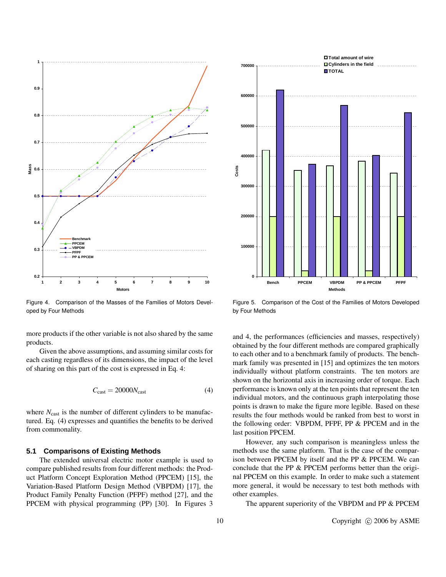

Figure 4. Comparison of the Masses of the Families of Motors Developed by Four Methods

more products if the other variable is not also shared by the same products.

Given the above assumptions, and assuming similar costs for each casting regardless of its dimensions, the impact of the level of sharing on this part of the cost is expressed in Eq. 4:

$$
C_{\text{cast}} = 20000N_{\text{cast}} \tag{4}
$$

where  $N_{\text{cast}}$  is the number of different cylinders to be manufactured. Eq. (4) expresses and quantifies the benefits to be derived from commonality.

#### **5.1 Comparisons of Existing Methods**

The extended universal electric motor example is used to compare published results from four different methods: the Product Platform Concept Exploration Method (PPCEM) [15], the Variation-Based Platform Design Method (VBPDM) [17], the Product Family Penalty Function (PFPF) method [27], and the PPCEM with physical programming (PP) [30]. In Figures 3



Figure 5. Comparison of the Cost of the Families of Motors Developed by Four Methods

and 4, the performances (efficiencies and masses, respectively) obtained by the four different methods are compared graphically to each other and to a benchmark family of products. The benchmark family was presented in [15] and optimizes the ten motors individually without platform constraints. The ten motors are shown on the horizontal axis in increasing order of torque. Each performance is known only at the ten points that represent the ten individual motors, and the continuous graph interpolating those points is drawn to make the figure more legible. Based on these results the four methods would be ranked from best to worst in the following order: VBPDM, PFPF, PP & PPCEM and in the last position PPCEM.

However, any such comparison is meaningless unless the methods use the same platform. That is the case of the comparison between PPCEM by itself and the PP & PPCEM. We can conclude that the PP & PPCEM performs better than the original PPCEM on this example. In order to make such a statement more general, it would be necessary to test both methods with other examples.

The apparent superiority of the VBPDM and PP & PPCEM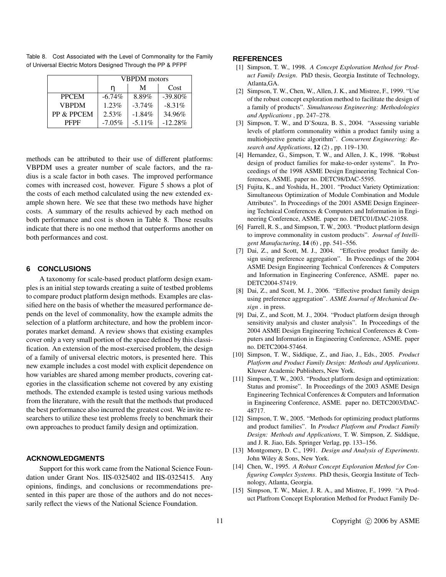|              | <b>VBPDM</b> motors |           |            |
|--------------|---------------------|-----------|------------|
|              | n                   | Cost      |            |
| <b>PPCEM</b> | $-6.74\%$           | 8.89%     | $-39.80\%$ |
| <b>VBPDM</b> | $1.23\%$            | $-3.74\%$ | $-8.31\%$  |
| PP & PPCEM   | 2.53%               | $-1.84\%$ | 34.96%     |
| <b>PFPF</b>  | $-7.05\%$           | $-5.11\%$ | $-12.28%$  |

Table 8. Cost Associated with the Level of Commonality for the Family of Universal Electric Motors Designed Through the PP & PFPF

methods can be attributed to their use of different platforms: VBPDM uses a greater number of scale factors, and the radius is a scale factor in both cases. The improved performance comes with increased cost, however. Figure 5 shows a plot of the costs of each method calculated using the new extended example shown here. We see that these two methods have higher costs. A summary of the results achieved by each method on both performance and cost is shown in Table 8. Those results indicate that there is no one method that outperforms another on both performances and cost.

#### **6 CONCLUSIONS**

A taxonomy for scale-based product platform design examples is an initial step towards creating a suite of testbed problems to compare product platform design methods. Examples are classified here on the basis of whether the measured performance depends on the level of commonality, how the example admits the selection of a platform architecture, and how the problem incorporates market demand. A review shows that existing examples cover only a very small portion of the space defined by this classification. An extension of the most-exercised problem, the design of a family of universal electric motors, is presented here. This new example includes a cost model with explicit dependence on how variables are shared among member products, covering categories in the classification scheme not covered by any existing methods. The extended example is tested using various methods from the literature, with the result that the methods that produced the best performance also incurred the greatest cost. We invite researchers to utilize these test problems freely to benchmark their own approaches to product family design and optimization.

### **ACKNOWLEDGMENTS**

Support for this work came from the National Science Foundation under Grant Nos. IIS-0325402 and IIS-0325415. Any opinions, findings, and conclusions or recommendations presented in this paper are those of the authors and do not necessarily reflect the views of the National Science Foundation.

#### **REFERENCES**

- [1] Simpson, T. W., 1998. *A Concept Exploration Method for Product Family Design*. PhD thesis, Georgia Institute of Technology, Atlanta,GA.
- [2] Simpson, T. W., Chen, W., Allen, J. K., and Mistree, F., 1999. "Use of the robust concept exploration method to facilitate the design of a family of products". *Simultaneous Engineering: Methodologies and Applications* , pp. 247–278.
- [3] Simpson, T. W., and D'Souza, B. S., 2004. "Assessing variable levels of platform commonality within a product family using a multiobjective genetic algorithm". *Concurrent Engineering: Research and Applications*, **12** (2) , pp. 119–130.
- [4] Hernandez, G., Simpson, T. W., and Allen, J. K., 1998. "Robust design of product families for make-to-order systems". In Proceedings of the 1998 ASME Design Engineering Technical Conferences, ASME. paper no. DETC98/DAC-5595.
- [5] Fujita, K., and Yoshida, H., 2001. "Product Variety Optimization: Simultaneous Optimization of Module Combination and Module Attributes". In Proceedings of the 2001 ASME Design Engineering Technical Conferences & Computers and Information in Engineering Conference, ASME. paper no. DETC01/DAC-21058.
- [6] Farrell, R. S., and Simpson, T. W., 2003. "Product platform design to improve commonality in custom products". *Journal of Intelligent Manufacturing*, **14** (6) , pp. 541–556.
- [7] Dai, Z., and Scott, M. J., 2004. "Effective product family design using preference aggregation". In Proceedings of the 2004 ASME Design Engineering Technical Conferences & Computers and Information in Engineering Conference, ASME. paper no. DETC2004-57419.
- [8] Dai, Z., and Scott, M. J., 2006. "Effective product family design using preference aggregation". *ASME Journal of Mechanical Design* . in press.
- [9] Dai, Z., and Scott, M. J., 2004. "Product platform design through sensitivity analysis and cluster analysis". In Proceedings of the 2004 ASME Design Engineering Technical Conferences & Computers and Information in Engineering Conference, ASME. paper no. DETC2004-57464.
- [10] Simpson, T. W., Siddique, Z., and Jiao, J., Eds., 2005. *Product Platform and Product Family Design: Methods and Applications*. Kluwer Academic Publishers, New York.
- [11] Simpson, T. W., 2003. "Product platform design and optimization: Status and promise". In Proceedings of the 2003 ASME Design Engineering Technical Conferences & Computers and Information in Engineering Conference, ASME. paper no. DETC2003/DAC-48717.
- [12] Simpson, T. W., 2005. "Methods for optimizing product platforms and product families". In *Product Platform and Product Family Design: Methods and Applications*, T. W. Simpson, Z. Siddique, and J. R. Jiao, Eds. Springer Verlag, pp. 133–156.
- [13] Montgomery, D. C., 1991. *Design and Analysis of Experiments*. John Wiley & Sons, New York.
- [14] Chen, W., 1995. *A Robust Concept Exploration Method for Configuring Complex Systems*. PhD thesis, Georgia Institute of Technology, Atlanta, Georgia.
- [15] Simpson, T. W., Maier, J. R. A., and Mistree, F., 1999. "A Product Platfrom Concept Exploration Method for Product Family De-